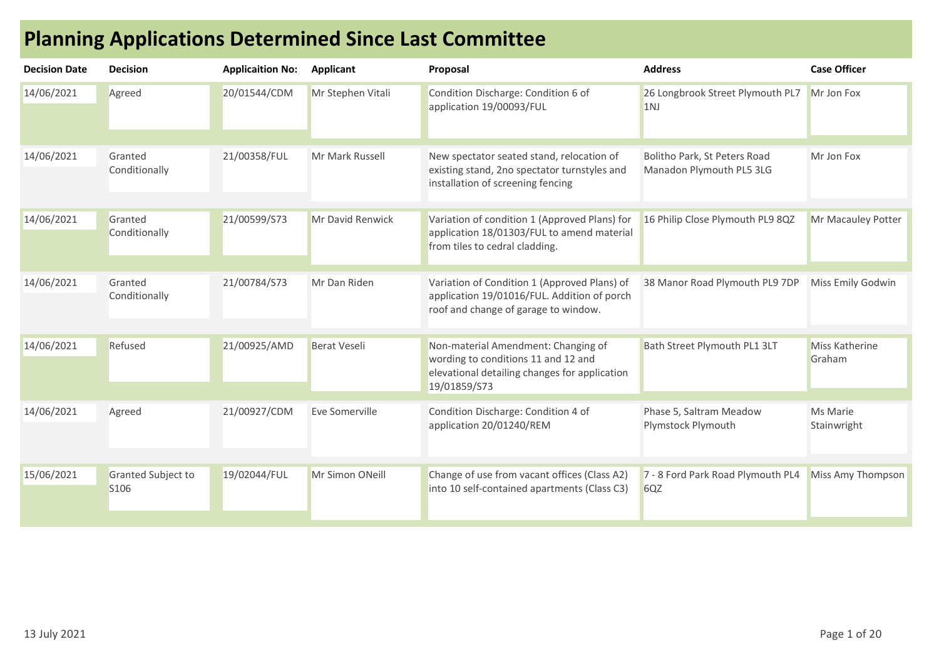| <b>Decision Date</b> | <b>Decision</b>                        | <b>Applicaition No:</b> | Applicant           | Proposal                                                                                                                                    | <b>Address</b>                                           | <b>Case Officer</b>             |
|----------------------|----------------------------------------|-------------------------|---------------------|---------------------------------------------------------------------------------------------------------------------------------------------|----------------------------------------------------------|---------------------------------|
| 14/06/2021           | Agreed                                 | 20/01544/CDM            | Mr Stephen Vitali   | Condition Discharge: Condition 6 of<br>application 19/00093/FUL                                                                             | 26 Longbrook Street Plymouth PL7<br>1 <sub>NJ</sub>      | Mr Jon Fox                      |
| 14/06/2021           | Granted<br>Conditionally               | 21/00358/FUL            | Mr Mark Russell     | New spectator seated stand, relocation of<br>existing stand, 2no spectator turnstyles and<br>installation of screening fencing              | Bolitho Park, St Peters Road<br>Manadon Plymouth PL5 3LG | Mr Jon Fox                      |
| 14/06/2021           | Granted<br>Conditionally               | 21/00599/S73            | Mr David Renwick    | Variation of condition 1 (Approved Plans) for<br>application 18/01303/FUL to amend material<br>from tiles to cedral cladding.               | 16 Philip Close Plymouth PL9 8QZ                         | Mr Macauley Potter              |
| 14/06/2021           | Granted<br>Conditionally               | 21/00784/S73            | Mr Dan Riden        | Variation of Condition 1 (Approved Plans) of<br>application 19/01016/FUL. Addition of porch<br>roof and change of garage to window.         | 38 Manor Road Plymouth PL9 7DP                           | Miss Emily Godwin               |
| 14/06/2021           | Refused                                | 21/00925/AMD            | <b>Berat Veseli</b> | Non-material Amendment: Changing of<br>wording to conditions 11 and 12 and<br>elevational detailing changes for application<br>19/01859/S73 | Bath Street Plymouth PL1 3LT                             | <b>Miss Katherine</b><br>Graham |
| 14/06/2021           | Agreed                                 | 21/00927/CDM            | Eve Somerville      | Condition Discharge: Condition 4 of<br>application 20/01240/REM                                                                             | Phase 5, Saltram Meadow<br>Plymstock Plymouth            | Ms Marie<br>Stainwright         |
| 15/06/2021           | Granted Subject to<br>S <sub>106</sub> | 19/02044/FUL            | Mr Simon ONeill     | Change of use from vacant offices (Class A2)<br>into 10 self-contained apartments (Class C3)                                                | 7 - 8 Ford Park Road Plymouth PL4<br>6QZ                 | Miss Amy Thompson               |

## Planning Applications Determined Since Last Committee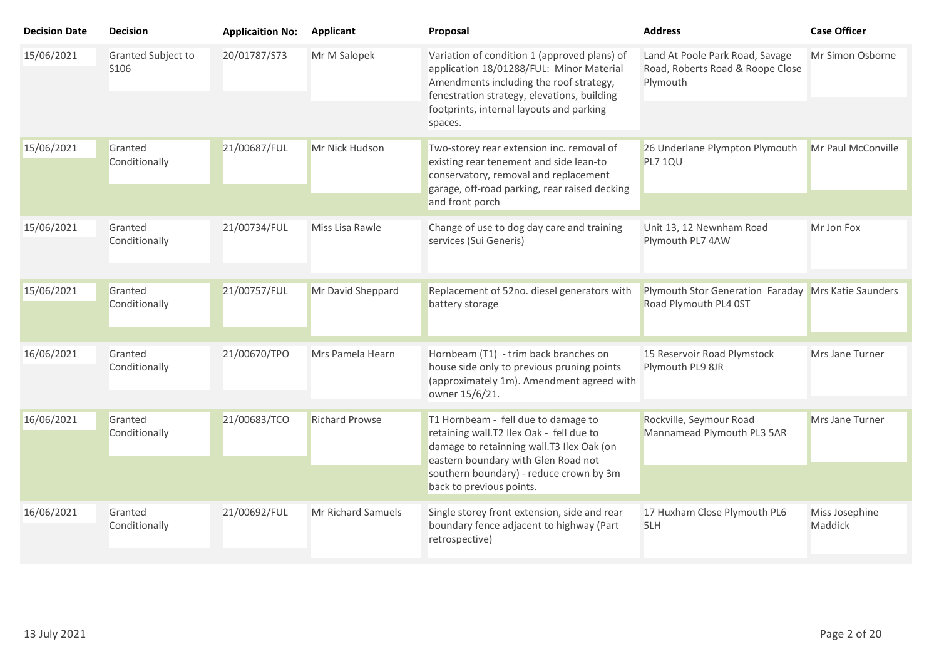| <b>Decision Date</b> | <b>Decision</b>                        | <b>Applicaition No:</b> | <b>Applicant</b>      | Proposal                                                                                                                                                                                                                                  | <b>Address</b>                                                                  | <b>Case Officer</b>       |
|----------------------|----------------------------------------|-------------------------|-----------------------|-------------------------------------------------------------------------------------------------------------------------------------------------------------------------------------------------------------------------------------------|---------------------------------------------------------------------------------|---------------------------|
| 15/06/2021           | Granted Subject to<br>S <sub>106</sub> | 20/01787/S73            | Mr M Salopek          | Variation of condition 1 (approved plans) of<br>application 18/01288/FUL: Minor Material<br>Amendments including the roof strategy,<br>fenestration strategy, elevations, building<br>footprints, internal layouts and parking<br>spaces. | Land At Poole Park Road, Savage<br>Road, Roberts Road & Roope Close<br>Plymouth | Mr Simon Osborne          |
| 15/06/2021           | Granted<br>Conditionally               | 21/00687/FUL            | Mr Nick Hudson        | Two-storey rear extension inc. removal of<br>existing rear tenement and side lean-to<br>conservatory, removal and replacement<br>garage, off-road parking, rear raised decking<br>and front porch                                         | 26 Underlane Plympton Plymouth<br>PL7 1QU                                       | Mr Paul McConville        |
| 15/06/2021           | Granted<br>Conditionally               | 21/00734/FUL            | Miss Lisa Rawle       | Change of use to dog day care and training<br>services (Sui Generis)                                                                                                                                                                      | Unit 13, 12 Newnham Road<br>Plymouth PL7 4AW                                    | Mr Jon Fox                |
| 15/06/2021           | Granted<br>Conditionally               | 21/00757/FUL            | Mr David Sheppard     | Replacement of 52no. diesel generators with<br>battery storage                                                                                                                                                                            | Plymouth Stor Generation Faraday Mrs Katie Saunders<br>Road Plymouth PL4 0ST    |                           |
| 16/06/2021           | Granted<br>Conditionally               | 21/00670/TPO            | Mrs Pamela Hearn      | Hornbeam (T1) - trim back branches on<br>house side only to previous pruning points<br>(approximately 1m). Amendment agreed with<br>owner 15/6/21.                                                                                        | 15 Reservoir Road Plymstock<br>Plymouth PL9 8JR                                 | Mrs Jane Turner           |
| 16/06/2021           | Granted<br>Conditionally               | 21/00683/TCO            | <b>Richard Prowse</b> | T1 Hornbeam - fell due to damage to<br>retaining wall.T2 Ilex Oak - fell due to<br>damage to retainning wall.T3 Ilex Oak (on<br>eastern boundary with Glen Road not                                                                       | Rockville, Seymour Road<br>Mannamead Plymouth PL3 5AR                           | Mrs Jane Turner           |
|                      |                                        |                         |                       | southern boundary) - reduce crown by 3m<br>back to previous points.                                                                                                                                                                       |                                                                                 |                           |
| 16/06/2021           | Granted<br>Conditionally               | 21/00692/FUL            | Mr Richard Samuels    | Single storey front extension, side and rear<br>boundary fence adjacent to highway (Part<br>retrospective)                                                                                                                                | 17 Huxham Close Plymouth PL6<br>5LH                                             | Miss Josephine<br>Maddick |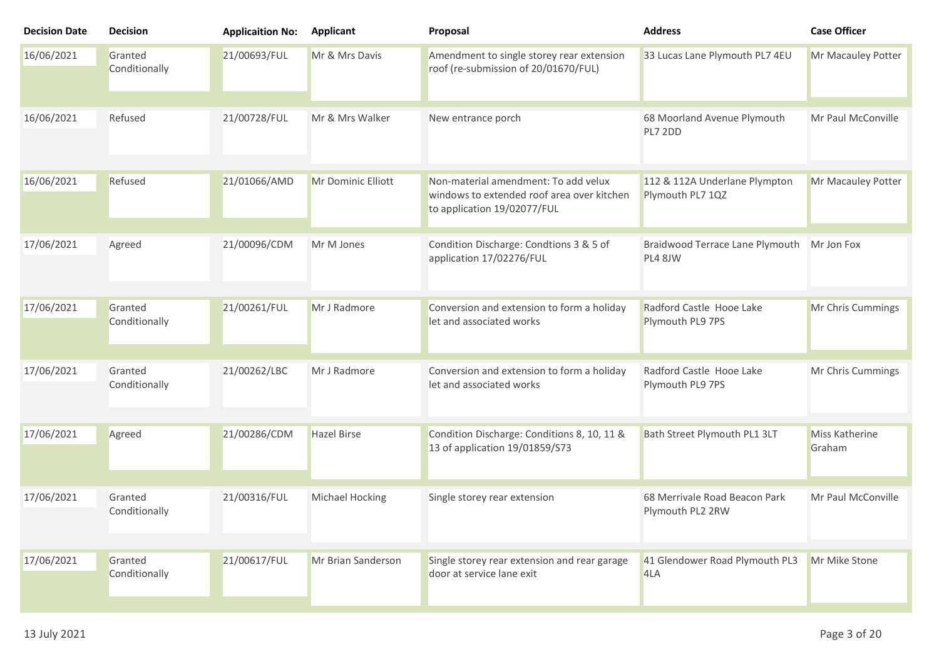| <b>Decision Date</b> | <b>Decision</b>          | <b>Applicaition No:</b> | <b>Applicant</b>   | Proposal                                                                                                          | <b>Address</b>                                        | <b>Case Officer</b>      |
|----------------------|--------------------------|-------------------------|--------------------|-------------------------------------------------------------------------------------------------------------------|-------------------------------------------------------|--------------------------|
| 16/06/2021           | Granted<br>Conditionally | 21/00693/FUL            | Mr & Mrs Davis     | Amendment to single storey rear extension<br>roof (re-submission of 20/01670/FUL)                                 | 33 Lucas Lane Plymouth PL7 4EU                        | Mr Macauley Potter       |
| 16/06/2021           | Refused                  | 21/00728/FUL            | Mr & Mrs Walker    | New entrance porch                                                                                                | 68 Moorland Avenue Plymouth<br>PL7 2DD                | Mr Paul McConville       |
| 16/06/2021           | Refused                  | 21/01066/AMD            | Mr Dominic Elliott | Non-material amendment: To add velux<br>windows to extended roof area over kitchen<br>to application 19/02077/FUL | 112 & 112A Underlane Plympton<br>Plymouth PL7 1QZ     | Mr Macauley Potter       |
| 17/06/2021           | Agreed                   | 21/00096/CDM            | Mr M Jones         | Condition Discharge: Condtions 3 & 5 of<br>application 17/02276/FUL                                               | Braidwood Terrace Lane Plymouth Mr Jon Fox<br>PL4 8JW |                          |
| 17/06/2021           | Granted<br>Conditionally | 21/00261/FUL            | Mr J Radmore       | Conversion and extension to form a holiday<br>let and associated works                                            | Radford Castle Hooe Lake<br>Plymouth PL9 7PS          | Mr Chris Cummings        |
| 17/06/2021           | Granted<br>Conditionally | 21/00262/LBC            | Mr J Radmore       | Conversion and extension to form a holiday<br>let and associated works                                            | Radford Castle Hooe Lake<br>Plymouth PL9 7PS          | Mr Chris Cummings        |
| 17/06/2021           | Agreed                   | 21/00286/CDM            | <b>Hazel Birse</b> | Condition Discharge: Conditions 8, 10, 11 &<br>13 of application 19/01859/S73                                     | Bath Street Plymouth PL1 3LT                          | Miss Katherine<br>Graham |
| 17/06/2021           | Granted<br>Conditionally | 21/00316/FUL            | Michael Hocking    | Single storey rear extension                                                                                      | 68 Merrivale Road Beacon Park<br>Plymouth PL2 2RW     | Mr Paul McConville       |
| 17/06/2021           | Granted<br>Conditionally | 21/00617/FUL            | Mr Brian Sanderson | Single storey rear extension and rear garage<br>door at service lane exit                                         | 41 Glendower Road Plymouth PL3<br>4LA                 | Mr Mike Stone            |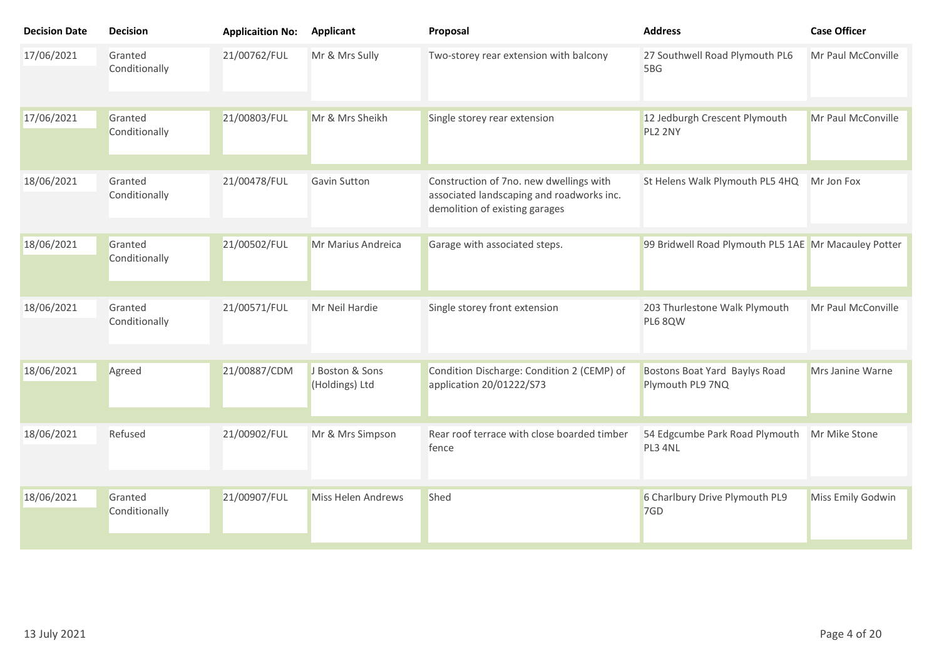| <b>Decision Date</b> | <b>Decision</b>          | <b>Applicaition No:</b> | <b>Applicant</b>                  | Proposal                                                                                                               | <b>Address</b>                                       | <b>Case Officer</b> |
|----------------------|--------------------------|-------------------------|-----------------------------------|------------------------------------------------------------------------------------------------------------------------|------------------------------------------------------|---------------------|
| 17/06/2021           | Granted<br>Conditionally | 21/00762/FUL            | Mr & Mrs Sully                    | Two-storey rear extension with balcony                                                                                 | 27 Southwell Road Plymouth PL6<br>5BG                | Mr Paul McConville  |
| 17/06/2021           | Granted<br>Conditionally | 21/00803/FUL            | Mr & Mrs Sheikh                   | Single storey rear extension                                                                                           | 12 Jedburgh Crescent Plymouth<br>PL2 2NY             | Mr Paul McConville  |
| 18/06/2021           | Granted<br>Conditionally | 21/00478/FUL            | <b>Gavin Sutton</b>               | Construction of 7no. new dwellings with<br>associated landscaping and roadworks inc.<br>demolition of existing garages | St Helens Walk Plymouth PL5 4HQ                      | Mr Jon Fox          |
| 18/06/2021           | Granted<br>Conditionally | 21/00502/FUL            | Mr Marius Andreica                | Garage with associated steps.                                                                                          | 99 Bridwell Road Plymouth PL5 1AE Mr Macauley Potter |                     |
| 18/06/2021           | Granted<br>Conditionally | 21/00571/FUL            | Mr Neil Hardie                    | Single storey front extension                                                                                          | 203 Thurlestone Walk Plymouth<br>PL6 8QW             | Mr Paul McConville  |
| 18/06/2021           | Agreed                   | 21/00887/CDM            | J Boston & Sons<br>(Holdings) Ltd | Condition Discharge: Condition 2 (CEMP) of<br>application 20/01222/S73                                                 | Bostons Boat Yard Baylys Road<br>Plymouth PL9 7NQ    | Mrs Janine Warne    |
| 18/06/2021           | Refused                  | 21/00902/FUL            | Mr & Mrs Simpson                  | Rear roof terrace with close boarded timber<br>fence                                                                   | 54 Edgcumbe Park Road Plymouth<br>PL3 4NL            | Mr Mike Stone       |
| 18/06/2021           | Granted<br>Conditionally | 21/00907/FUL            | Miss Helen Andrews                | Shed                                                                                                                   | 6 Charlbury Drive Plymouth PL9<br>7GD                | Miss Emily Godwin   |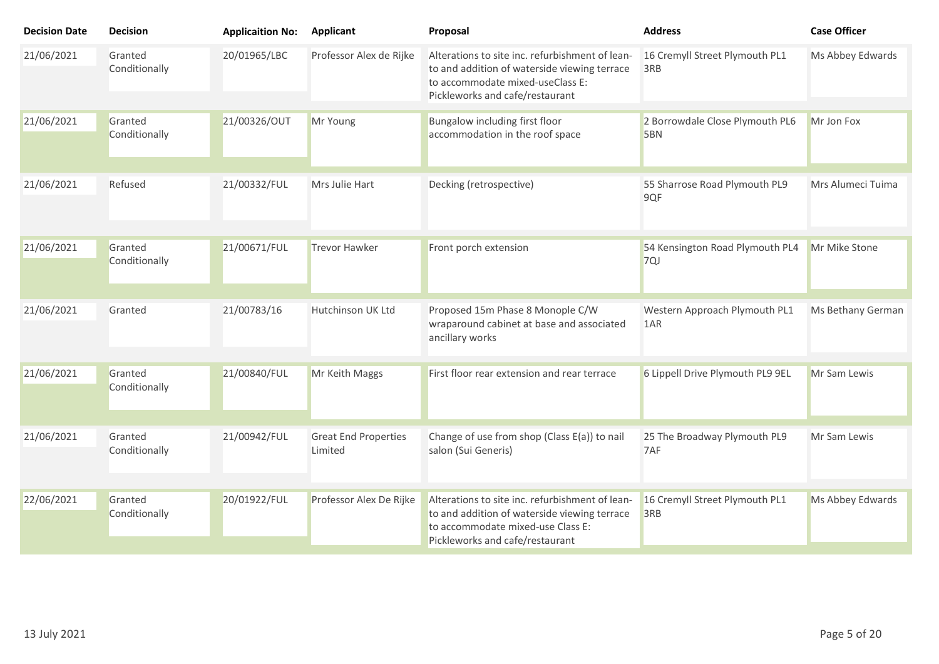| <b>Decision Date</b> | <b>Decision</b>          | <b>Applicaition No:</b> | <b>Applicant</b>                       | Proposal                                                                                                                                                                | <b>Address</b>                         | <b>Case Officer</b> |
|----------------------|--------------------------|-------------------------|----------------------------------------|-------------------------------------------------------------------------------------------------------------------------------------------------------------------------|----------------------------------------|---------------------|
| 21/06/2021           | Granted<br>Conditionally | 20/01965/LBC            | Professor Alex de Rijke                | Alterations to site inc. refurbishment of lean-<br>to and addition of waterside viewing terrace<br>to accommodate mixed-useClass E:<br>Pickleworks and cafe/restaurant  | 16 Cremyll Street Plymouth PL1<br>3RB  | Ms Abbey Edwards    |
| 21/06/2021           | Granted<br>Conditionally | 21/00326/OUT            | Mr Young                               | Bungalow including first floor<br>accommodation in the roof space                                                                                                       | 2 Borrowdale Close Plymouth PL6<br>5BN | Mr Jon Fox          |
| 21/06/2021           | Refused                  | 21/00332/FUL            | Mrs Julie Hart                         | Decking (retrospective)                                                                                                                                                 | 55 Sharrose Road Plymouth PL9<br>9QF   | Mrs Alumeci Tuima   |
| 21/06/2021           | Granted<br>Conditionally | 21/00671/FUL            | <b>Trevor Hawker</b>                   | Front porch extension                                                                                                                                                   | 54 Kensington Road Plymouth PL4<br>7QJ | Mr Mike Stone       |
| 21/06/2021           | Granted                  | 21/00783/16             | Hutchinson UK Ltd                      | Proposed 15m Phase 8 Monople C/W<br>wraparound cabinet at base and associated<br>ancillary works                                                                        | Western Approach Plymouth PL1<br>1AR   | Ms Bethany German   |
| 21/06/2021           | Granted<br>Conditionally | 21/00840/FUL            | Mr Keith Maggs                         | First floor rear extension and rear terrace                                                                                                                             | 6 Lippell Drive Plymouth PL9 9EL       | Mr Sam Lewis        |
| 21/06/2021           | Granted<br>Conditionally | 21/00942/FUL            | <b>Great End Properties</b><br>Limited | Change of use from shop (Class E(a)) to nail<br>salon (Sui Generis)                                                                                                     | 25 The Broadway Plymouth PL9<br>7AF    | Mr Sam Lewis        |
| 22/06/2021           | Granted<br>Conditionally | 20/01922/FUL            | Professor Alex De Rijke                | Alterations to site inc. refurbishment of lean-<br>to and addition of waterside viewing terrace<br>to accommodate mixed-use Class E:<br>Pickleworks and cafe/restaurant | 16 Cremyll Street Plymouth PL1<br>3RB  | Ms Abbey Edwards    |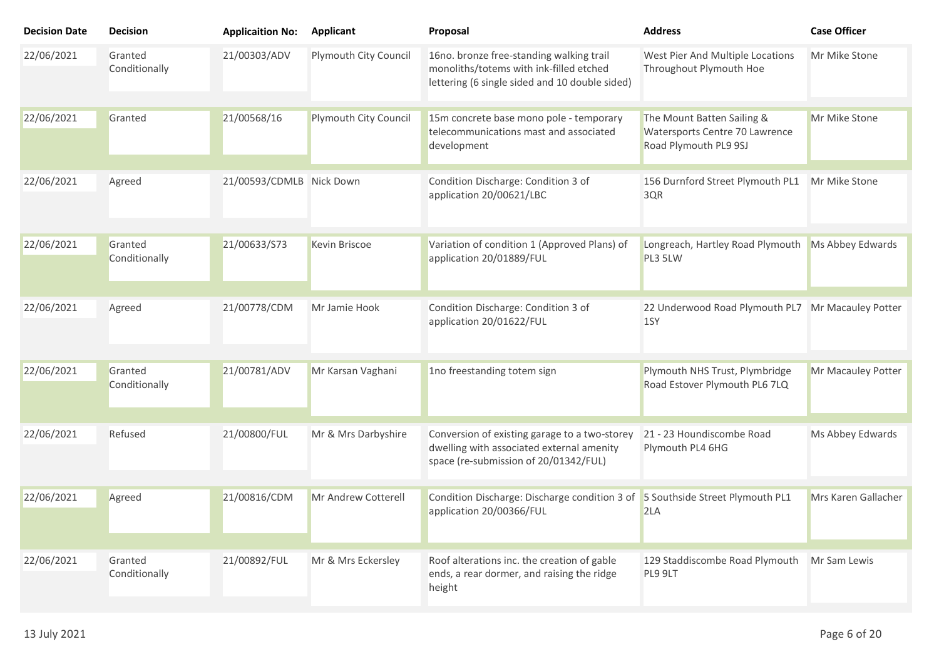| <b>Decision Date</b> | <b>Decision</b>          | <b>Applicaition No:</b>  | Applicant             | Proposal                                                                                                                              | <b>Address</b>                                                                        | <b>Case Officer</b> |
|----------------------|--------------------------|--------------------------|-----------------------|---------------------------------------------------------------------------------------------------------------------------------------|---------------------------------------------------------------------------------------|---------------------|
| 22/06/2021           | Granted<br>Conditionally | 21/00303/ADV             | Plymouth City Council | 16no. bronze free-standing walking trail<br>monoliths/totems with ink-filled etched<br>lettering (6 single sided and 10 double sided) | West Pier And Multiple Locations<br>Throughout Plymouth Hoe                           | Mr Mike Stone       |
| 22/06/2021           | Granted                  | 21/00568/16              | Plymouth City Council | 15m concrete base mono pole - temporary<br>telecommunications mast and associated<br>development                                      | The Mount Batten Sailing &<br>Watersports Centre 70 Lawrence<br>Road Plymouth PL9 9SJ | Mr Mike Stone       |
| 22/06/2021           | Agreed                   | 21/00593/CDMLB Nick Down |                       | Condition Discharge: Condition 3 of<br>application 20/00621/LBC                                                                       | 156 Durnford Street Plymouth PL1<br>3QR                                               | Mr Mike Stone       |
| 22/06/2021           | Granted<br>Conditionally | 21/00633/S73             | Kevin Briscoe         | Variation of condition 1 (Approved Plans) of<br>application 20/01889/FUL                                                              | Longreach, Hartley Road Plymouth<br>PL3 5LW                                           | Ms Abbey Edwards    |
| 22/06/2021           | Agreed                   | 21/00778/CDM             | Mr Jamie Hook         | Condition Discharge: Condition 3 of<br>application 20/01622/FUL                                                                       | 22 Underwood Road Plymouth PL7 Mr Macauley Potter<br>1SY                              |                     |
| 22/06/2021           | Granted<br>Conditionally | 21/00781/ADV             | Mr Karsan Vaghani     | 1no freestanding totem sign                                                                                                           | Plymouth NHS Trust, Plymbridge<br>Road Estover Plymouth PL6 7LQ                       | Mr Macauley Potter  |
| 22/06/2021           | Refused                  | 21/00800/FUL             | Mr & Mrs Darbyshire   | Conversion of existing garage to a two-storey<br>dwelling with associated external amenity<br>space (re-submission of 20/01342/FUL)   | 21 - 23 Houndiscombe Road<br>Plymouth PL4 6HG                                         | Ms Abbey Edwards    |
| 22/06/2021           | Agreed                   | 21/00816/CDM             | Mr Andrew Cotterell   | Condition Discharge: Discharge condition 3 of<br>application 20/00366/FUL                                                             | 5 Southside Street Plymouth PL1<br>2LA                                                | Mrs Karen Gallacher |
| 22/06/2021           | Granted<br>Conditionally | 21/00892/FUL             | Mr & Mrs Eckersley    | Roof alterations inc. the creation of gable<br>ends, a rear dormer, and raising the ridge<br>height                                   | 129 Staddiscombe Road Plymouth<br>PL9 9LT                                             | Mr Sam Lewis        |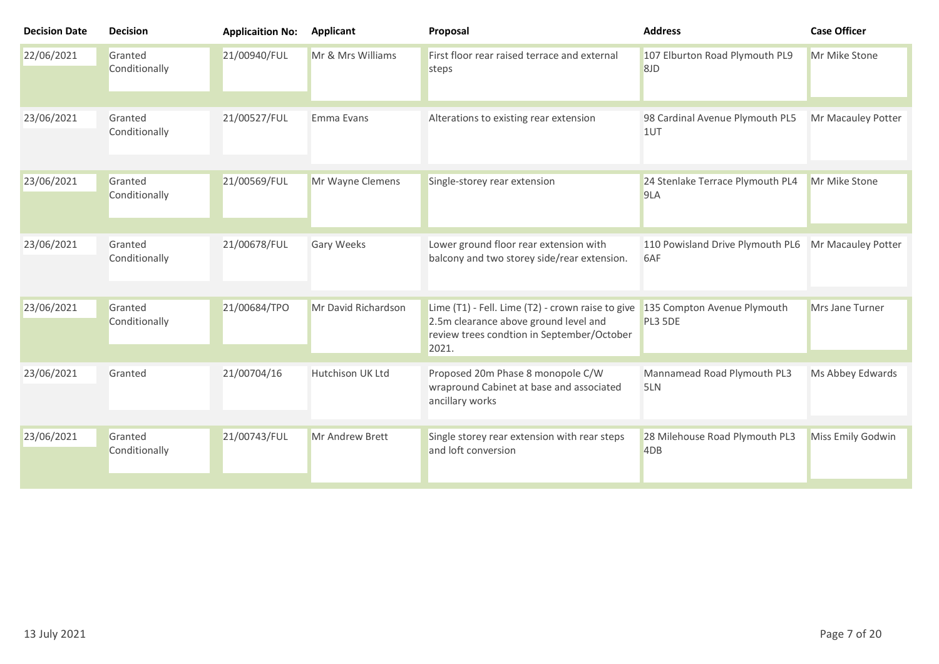| <b>Decision Date</b> | <b>Decision</b>          | <b>Applicaition No:</b> | <b>Applicant</b>    | Proposal                                                                                                                                          | <b>Address</b>                          | <b>Case Officer</b> |
|----------------------|--------------------------|-------------------------|---------------------|---------------------------------------------------------------------------------------------------------------------------------------------------|-----------------------------------------|---------------------|
| 22/06/2021           | Granted<br>Conditionally | 21/00940/FUL            | Mr & Mrs Williams   | First floor rear raised terrace and external<br>steps                                                                                             | 107 Elburton Road Plymouth PL9<br>8JD   | Mr Mike Stone       |
| 23/06/2021           | Granted<br>Conditionally | 21/00527/FUL            | Emma Evans          | Alterations to existing rear extension                                                                                                            | 98 Cardinal Avenue Plymouth PL5<br>1UT  | Mr Macauley Potter  |
| 23/06/2021           | Granted<br>Conditionally | 21/00569/FUL            | Mr Wayne Clemens    | Single-storey rear extension                                                                                                                      | 24 Stenlake Terrace Plymouth PL4<br>9LA | Mr Mike Stone       |
| 23/06/2021           | Granted<br>Conditionally | 21/00678/FUL            | <b>Gary Weeks</b>   | Lower ground floor rear extension with<br>balcony and two storey side/rear extension.                                                             | 110 Powisland Drive Plymouth PL6<br>6AF | Mr Macauley Potter  |
| 23/06/2021           | Granted<br>Conditionally | 21/00684/TPO            | Mr David Richardson | Lime (T1) - Fell. Lime (T2) - crown raise to give<br>2.5m clearance above ground level and<br>review trees condtion in September/October<br>2021. | 135 Compton Avenue Plymouth<br>PL3 5DE  | Mrs Jane Turner     |
| 23/06/2021           | Granted                  | 21/00704/16             | Hutchison UK Ltd    | Proposed 20m Phase 8 monopole C/W<br>wrapround Cabinet at base and associated<br>ancillary works                                                  | Mannamead Road Plymouth PL3<br>5LN      | Ms Abbey Edwards    |
| 23/06/2021           | Granted<br>Conditionally | 21/00743/FUL            | Mr Andrew Brett     | Single storey rear extension with rear steps<br>and loft conversion                                                                               | 28 Milehouse Road Plymouth PL3<br>4DB   | Miss Emily Godwin   |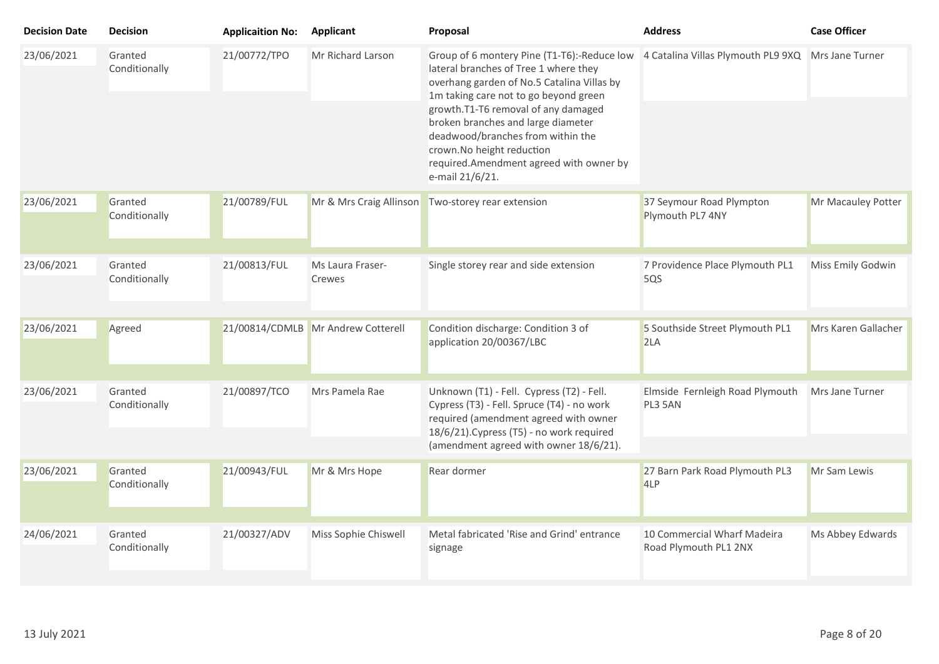| <b>Decision Date</b> | <b>Decision</b>          | <b>Applicaition No:</b> | <b>Applicant</b>                   | Proposal                                                                                                                                                                                                                                                                                                                                                                                 | <b>Address</b>                                       | <b>Case Officer</b> |
|----------------------|--------------------------|-------------------------|------------------------------------|------------------------------------------------------------------------------------------------------------------------------------------------------------------------------------------------------------------------------------------------------------------------------------------------------------------------------------------------------------------------------------------|------------------------------------------------------|---------------------|
| 23/06/2021           | Granted<br>Conditionally | 21/00772/TPO            | Mr Richard Larson                  | Group of 6 montery Pine (T1-T6):-Reduce low<br>lateral branches of Tree 1 where they<br>overhang garden of No.5 Catalina Villas by<br>1m taking care not to go beyond green<br>growth.T1-T6 removal of any damaged<br>broken branches and large diameter<br>deadwood/branches from within the<br>crown.No height reduction<br>required.Amendment agreed with owner by<br>e-mail 21/6/21. | 4 Catalina Villas Plymouth PL9 9XQ Mrs Jane Turner   |                     |
| 23/06/2021           | Granted<br>Conditionally | 21/00789/FUL            | Mr & Mrs Craig Allinson            | Two-storey rear extension                                                                                                                                                                                                                                                                                                                                                                | 37 Seymour Road Plympton<br>Plymouth PL7 4NY         | Mr Macauley Potter  |
| 23/06/2021           | Granted<br>Conditionally | 21/00813/FUL            | Ms Laura Fraser-<br>Crewes         | Single storey rear and side extension                                                                                                                                                                                                                                                                                                                                                    | 7 Providence Place Plymouth PL1<br>5QS               | Miss Emily Godwin   |
| 23/06/2021           | Agreed                   |                         | 21/00814/CDMLB Mr Andrew Cotterell | Condition discharge: Condition 3 of<br>application 20/00367/LBC                                                                                                                                                                                                                                                                                                                          | 5 Southside Street Plymouth PL1<br>2LA               | Mrs Karen Gallacher |
| 23/06/2021           | Granted<br>Conditionally | 21/00897/TCO            | Mrs Pamela Rae                     | Unknown (T1) - Fell. Cypress (T2) - Fell.<br>Cypress (T3) - Fell. Spruce (T4) - no work<br>required (amendment agreed with owner<br>18/6/21). Cypress (T5) - no work required<br>(amendment agreed with owner 18/6/21).                                                                                                                                                                  | Elmside Fernleigh Road Plymouth<br>PL3 5AN           | Mrs Jane Turner     |
| 23/06/2021           | Granted<br>Conditionally | 21/00943/FUL            | Mr & Mrs Hope                      | Rear dormer                                                                                                                                                                                                                                                                                                                                                                              | 27 Barn Park Road Plymouth PL3<br>4LP                | Mr Sam Lewis        |
| 24/06/2021           | Granted<br>Conditionally | 21/00327/ADV            | Miss Sophie Chiswell               | Metal fabricated 'Rise and Grind' entrance<br>signage                                                                                                                                                                                                                                                                                                                                    | 10 Commercial Wharf Madeira<br>Road Plymouth PL1 2NX | Ms Abbey Edwards    |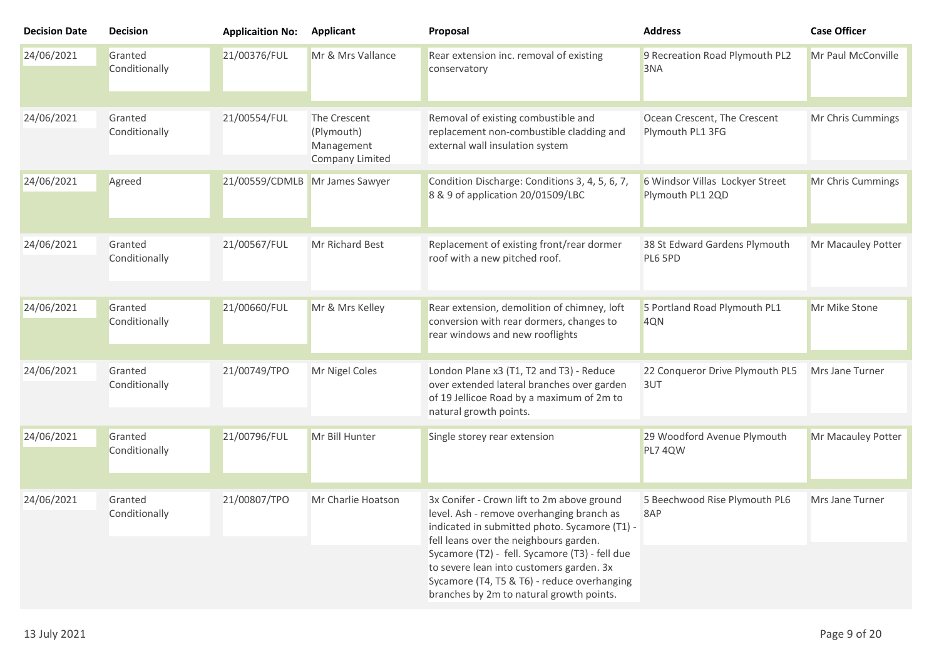| <b>Decision Date</b> | <b>Decision</b>          | <b>Applicaition No:</b>        | Applicant                                                   | Proposal                                                                                                                                                                                                                                                                                                                                                                    | <b>Address</b>                                      | <b>Case Officer</b> |
|----------------------|--------------------------|--------------------------------|-------------------------------------------------------------|-----------------------------------------------------------------------------------------------------------------------------------------------------------------------------------------------------------------------------------------------------------------------------------------------------------------------------------------------------------------------------|-----------------------------------------------------|---------------------|
| 24/06/2021           | Granted<br>Conditionally | 21/00376/FUL                   | Mr & Mrs Vallance                                           | Rear extension inc. removal of existing<br>conservatory                                                                                                                                                                                                                                                                                                                     | 9 Recreation Road Plymouth PL2<br>3NA               | Mr Paul McConville  |
| 24/06/2021           | Granted<br>Conditionally | 21/00554/FUL                   | The Crescent<br>(Plymouth)<br>Management<br>Company Limited | Removal of existing combustible and<br>replacement non-combustible cladding and<br>external wall insulation system                                                                                                                                                                                                                                                          | Ocean Crescent, The Crescent<br>Plymouth PL1 3FG    | Mr Chris Cummings   |
| 24/06/2021           | Agreed                   | 21/00559/CDMLB Mr James Sawyer |                                                             | Condition Discharge: Conditions 3, 4, 5, 6, 7,<br>8 & 9 of application 20/01509/LBC                                                                                                                                                                                                                                                                                         | 6 Windsor Villas Lockyer Street<br>Plymouth PL1 2QD | Mr Chris Cummings   |
| 24/06/2021           | Granted<br>Conditionally | 21/00567/FUL                   | <b>Mr Richard Best</b>                                      | Replacement of existing front/rear dormer<br>roof with a new pitched roof.                                                                                                                                                                                                                                                                                                  | 38 St Edward Gardens Plymouth<br>PL6 5PD            | Mr Macauley Potter  |
| 24/06/2021           | Granted<br>Conditionally | 21/00660/FUL                   | Mr & Mrs Kelley                                             | Rear extension, demolition of chimney, loft<br>conversion with rear dormers, changes to<br>rear windows and new rooflights                                                                                                                                                                                                                                                  | 5 Portland Road Plymouth PL1<br>4QN                 | Mr Mike Stone       |
| 24/06/2021           | Granted<br>Conditionally | 21/00749/TPO                   | Mr Nigel Coles                                              | London Plane x3 (T1, T2 and T3) - Reduce<br>over extended lateral branches over garden<br>of 19 Jellicoe Road by a maximum of 2m to<br>natural growth points.                                                                                                                                                                                                               | 22 Conqueror Drive Plymouth PL5<br>3UT              | Mrs Jane Turner     |
| 24/06/2021           | Granted<br>Conditionally | 21/00796/FUL                   | Mr Bill Hunter                                              | Single storey rear extension                                                                                                                                                                                                                                                                                                                                                | 29 Woodford Avenue Plymouth<br>PL7 4QW              | Mr Macauley Potter  |
| 24/06/2021           | Granted<br>Conditionally | 21/00807/TPO                   | Mr Charlie Hoatson                                          | 3x Conifer - Crown lift to 2m above ground<br>level. Ash - remove overhanging branch as<br>indicated in submitted photo. Sycamore (T1) -<br>fell leans over the neighbours garden.<br>Sycamore (T2) - fell. Sycamore (T3) - fell due<br>to severe lean into customers garden. 3x<br>Sycamore (T4, T5 & T6) - reduce overhanging<br>branches by 2m to natural growth points. | 5 Beechwood Rise Plymouth PL6<br>8AP                | Mrs Jane Turner     |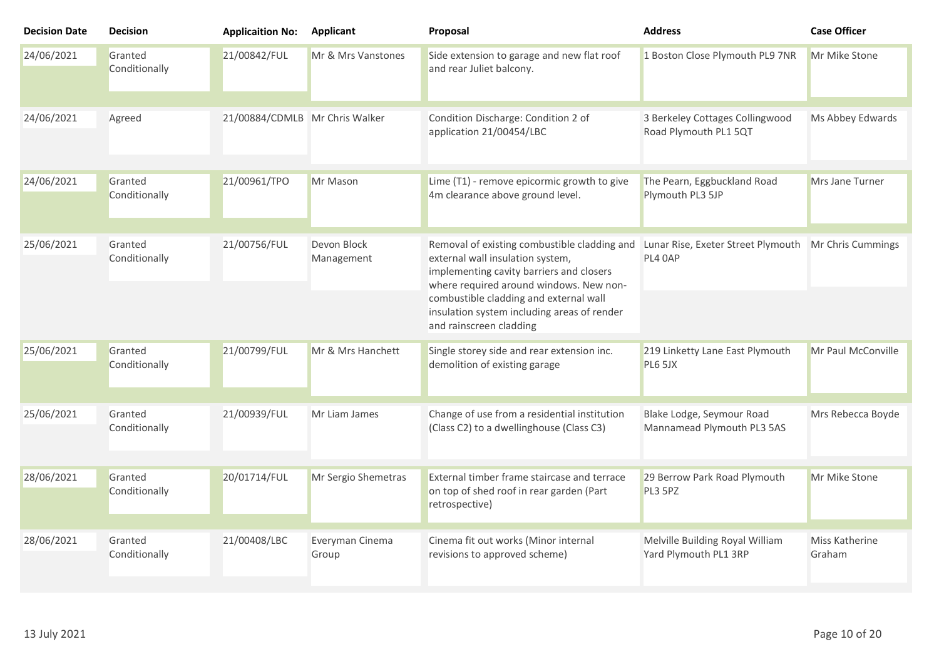| <b>Decision Date</b> | <b>Decision</b>          | <b>Applicaition No:</b>        | Applicant                 | Proposal                                                                                                                                                                                                                                                                                    | <b>Address</b>                                                  | <b>Case Officer</b>      |
|----------------------|--------------------------|--------------------------------|---------------------------|---------------------------------------------------------------------------------------------------------------------------------------------------------------------------------------------------------------------------------------------------------------------------------------------|-----------------------------------------------------------------|--------------------------|
| 24/06/2021           | Granted<br>Conditionally | 21/00842/FUL                   | Mr & Mrs Vanstones        | Side extension to garage and new flat roof<br>and rear Juliet balcony.                                                                                                                                                                                                                      | 1 Boston Close Plymouth PL9 7NR                                 | Mr Mike Stone            |
| 24/06/2021           | Agreed                   | 21/00884/CDMLB Mr Chris Walker |                           | Condition Discharge: Condition 2 of<br>application 21/00454/LBC                                                                                                                                                                                                                             | 3 Berkeley Cottages Collingwood<br>Road Plymouth PL1 5QT        | Ms Abbey Edwards         |
| 24/06/2021           | Granted<br>Conditionally | 21/00961/TPO                   | Mr Mason                  | Lime (T1) - remove epicormic growth to give<br>4m clearance above ground level.                                                                                                                                                                                                             | The Pearn, Eggbuckland Road<br>Plymouth PL3 5JP                 | Mrs Jane Turner          |
| 25/06/2021           | Granted<br>Conditionally | 21/00756/FUL                   | Devon Block<br>Management | Removal of existing combustible cladding and<br>external wall insulation system,<br>implementing cavity barriers and closers<br>where required around windows. New non-<br>combustible cladding and external wall<br>insulation system including areas of render<br>and rainscreen cladding | Lunar Rise, Exeter Street Plymouth Mr Chris Cummings<br>PL4 OAP |                          |
| 25/06/2021           | Granted<br>Conditionally | 21/00799/FUL                   | Mr & Mrs Hanchett         | Single storey side and rear extension inc.<br>demolition of existing garage                                                                                                                                                                                                                 | 219 Linketty Lane East Plymouth<br>PL6 5JX                      | Mr Paul McConville       |
| 25/06/2021           | Granted<br>Conditionally | 21/00939/FUL                   | Mr Liam James             | Change of use from a residential institution<br>(Class C2) to a dwellinghouse (Class C3)                                                                                                                                                                                                    | Blake Lodge, Seymour Road<br>Mannamead Plymouth PL3 5AS         | Mrs Rebecca Boyde        |
| 28/06/2021           | Granted<br>Conditionally | 20/01714/FUL                   | Mr Sergio Shemetras       | External timber frame staircase and terrace<br>on top of shed roof in rear garden (Part<br>retrospective)                                                                                                                                                                                   | 29 Berrow Park Road Plymouth<br>PL3 5PZ                         | Mr Mike Stone            |
| 28/06/2021           | Granted<br>Conditionally | 21/00408/LBC                   | Everyman Cinema<br>Group  | Cinema fit out works (Minor internal<br>revisions to approved scheme)                                                                                                                                                                                                                       | Melville Building Royal William<br>Yard Plymouth PL1 3RP        | Miss Katherine<br>Graham |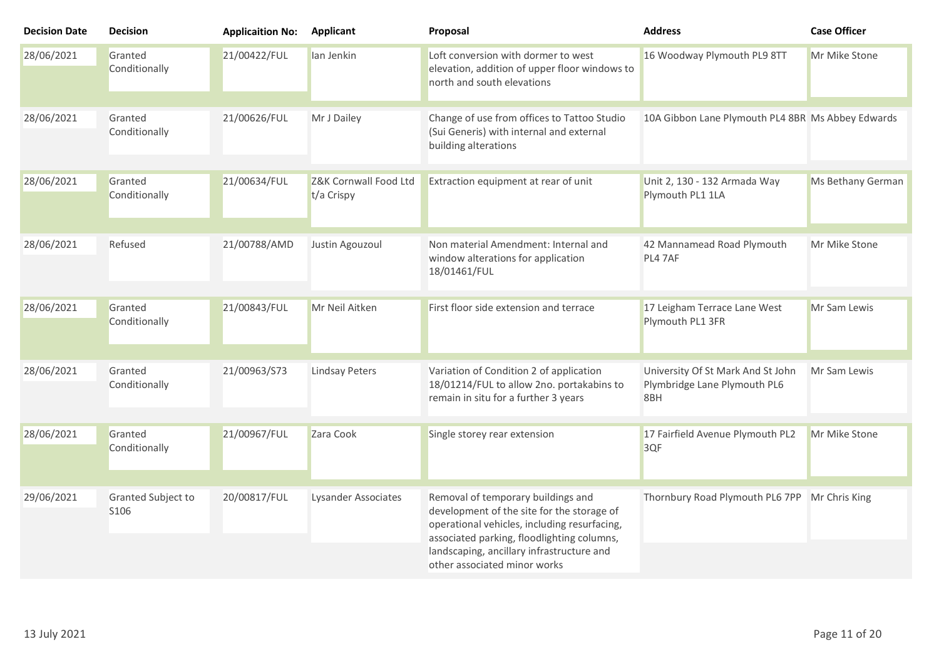| <b>Decision Date</b> | <b>Decision</b>            | <b>Applicaition No:</b> | <b>Applicant</b>                    | Proposal                                                                                                                                                                                                                                                    | <b>Address</b>                                                           | <b>Case Officer</b> |
|----------------------|----------------------------|-------------------------|-------------------------------------|-------------------------------------------------------------------------------------------------------------------------------------------------------------------------------------------------------------------------------------------------------------|--------------------------------------------------------------------------|---------------------|
| 28/06/2021           | Granted<br>Conditionally   | 21/00422/FUL            | lan Jenkin                          | Loft conversion with dormer to west<br>elevation, addition of upper floor windows to<br>north and south elevations                                                                                                                                          | 16 Woodway Plymouth PL9 8TT                                              | Mr Mike Stone       |
| 28/06/2021           | Granted<br>Conditionally   | 21/00626/FUL            | Mr J Dailey                         | Change of use from offices to Tattoo Studio<br>(Sui Generis) with internal and external<br>building alterations                                                                                                                                             | 10A Gibbon Lane Plymouth PL4 8BR Ms Abbey Edwards                        |                     |
| 28/06/2021           | Granted<br>Conditionally   | 21/00634/FUL            | Z&K Cornwall Food Ltd<br>t/a Crispy | Extraction equipment at rear of unit                                                                                                                                                                                                                        | Unit 2, 130 - 132 Armada Way<br>Plymouth PL1 1LA                         | Ms Bethany German   |
| 28/06/2021           | Refused                    | 21/00788/AMD            | Justin Agouzoul                     | Non material Amendment: Internal and<br>window alterations for application<br>18/01461/FUL                                                                                                                                                                  | 42 Mannamead Road Plymouth<br>PL4 7AF                                    | Mr Mike Stone       |
| 28/06/2021           | Granted<br>Conditionally   | 21/00843/FUL            | Mr Neil Aitken                      | First floor side extension and terrace                                                                                                                                                                                                                      | 17 Leigham Terrace Lane West<br>Plymouth PL1 3FR                         | Mr Sam Lewis        |
| 28/06/2021           | Granted<br>Conditionally   | 21/00963/S73            | <b>Lindsay Peters</b>               | Variation of Condition 2 of application<br>18/01214/FUL to allow 2no. portakabins to<br>remain in situ for a further 3 years                                                                                                                                | University Of St Mark And St John<br>Plymbridge Lane Plymouth PL6<br>8BH | Mr Sam Lewis        |
| 28/06/2021           | Granted<br>Conditionally   | 21/00967/FUL            | Zara Cook                           | Single storey rear extension                                                                                                                                                                                                                                | 17 Fairfield Avenue Plymouth PL2<br>3QF                                  | Mr Mike Stone       |
| 29/06/2021           | Granted Subject to<br>S106 | 20/00817/FUL            | <b>Lysander Associates</b>          | Removal of temporary buildings and<br>development of the site for the storage of<br>operational vehicles, including resurfacing,<br>associated parking, floodlighting columns,<br>landscaping, ancillary infrastructure and<br>other associated minor works | Thornbury Road Plymouth PL6 7PP Mr Chris King                            |                     |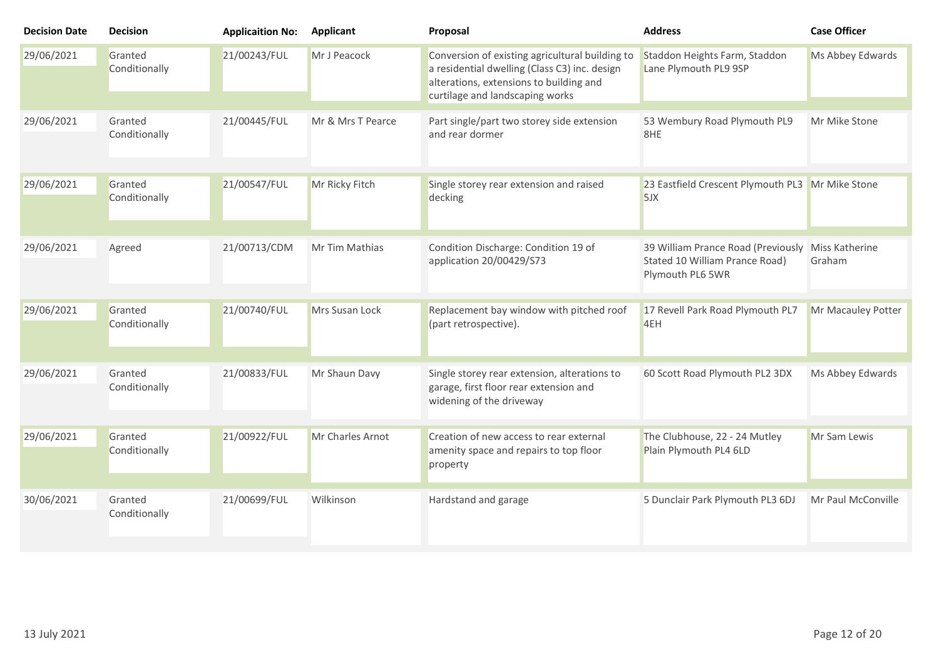| <b>Decision Date</b> | <b>Decision</b>          | <b>Applicaition No:</b> | Applicant         | Proposal                                                                                                                                                                       | <b>Address</b>                                                                           | <b>Case Officer</b>      |
|----------------------|--------------------------|-------------------------|-------------------|--------------------------------------------------------------------------------------------------------------------------------------------------------------------------------|------------------------------------------------------------------------------------------|--------------------------|
| 29/06/2021           | Granted<br>Conditionally | 21/00243/FUL            | Mr J Peacock      | Conversion of existing agricultural building to<br>a residential dwelling (Class C3) inc. design<br>alterations, extensions to building and<br>curtilage and landscaping works | Staddon Heights Farm, Staddon<br>Lane Plymouth PL9 9SP                                   | Ms Abbey Edwards         |
| 29/06/2021           | Granted<br>Conditionally | 21/00445/FUL            | Mr & Mrs T Pearce | Part single/part two storey side extension<br>and rear dormer                                                                                                                  | 53 Wembury Road Plymouth PL9<br>8HE                                                      | Mr Mike Stone            |
| 29/06/2021           | Granted<br>Conditionally | 21/00547/FUL            | Mr Ricky Fitch    | Single storey rear extension and raised<br>decking                                                                                                                             | 23 Eastfield Crescent Plymouth PL3 Mr Mike Stone<br>5JX                                  |                          |
| 29/06/2021           | Agreed                   | 21/00713/CDM            | Mr Tim Mathias    | Condition Discharge: Condition 19 of<br>application 20/00429/S73                                                                                                               | 39 William Prance Road (Previously<br>Stated 10 William Prance Road)<br>Plymouth PL6 5WR | Miss Katherine<br>Graham |
| 29/06/2021           | Granted<br>Conditionally | 21/00740/FUL            | Mrs Susan Lock    | Replacement bay window with pitched roof<br>(part retrospective).                                                                                                              | 17 Revell Park Road Plymouth PL7<br>4EH                                                  | Mr Macauley Potter       |
| 29/06/2021           | Granted<br>Conditionally | 21/00833/FUL            | Mr Shaun Davy     | Single storey rear extension, alterations to<br>garage, first floor rear extension and<br>widening of the driveway                                                             | 60 Scott Road Plymouth PL2 3DX                                                           | Ms Abbey Edwards         |
| 29/06/2021           | Granted<br>Conditionally | 21/00922/FUL            | Mr Charles Arnot  | Creation of new access to rear external<br>amenity space and repairs to top floor<br>property                                                                                  | The Clubhouse, 22 - 24 Mutley<br>Plain Plymouth PL4 6LD                                  | Mr Sam Lewis             |
| 30/06/2021           | Granted<br>Conditionally | 21/00699/FUL            | Wilkinson         | Hardstand and garage                                                                                                                                                           | 5 Dunclair Park Plymouth PL3 6DJ                                                         | Mr Paul McConville       |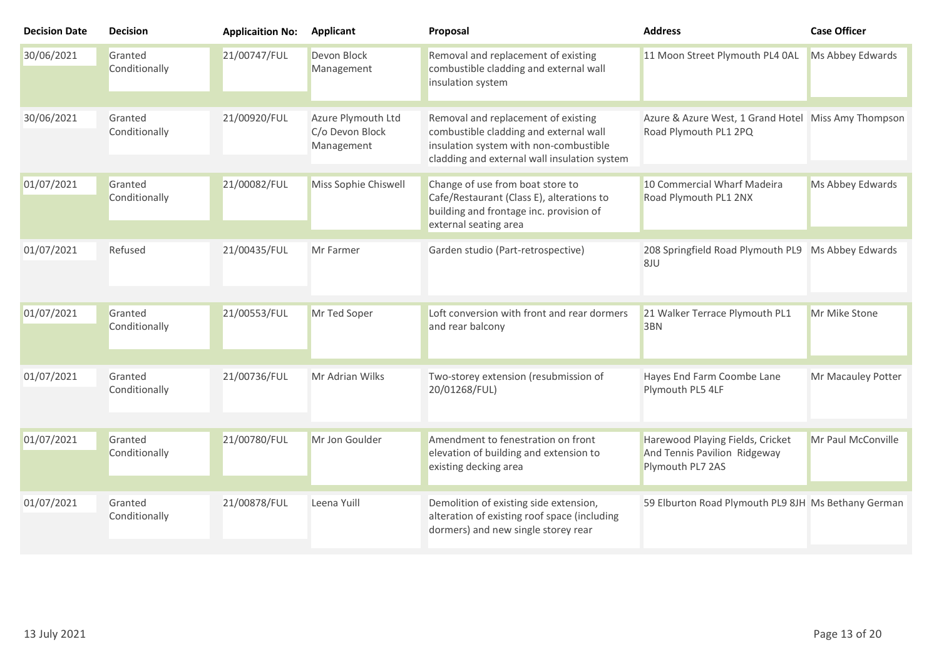| <b>Decision Date</b> | <b>Decision</b>          | <b>Applicaition No:</b> | <b>Applicant</b>                                    | Proposal                                                                                                                                                                | <b>Address</b>                                                                       | <b>Case Officer</b> |
|----------------------|--------------------------|-------------------------|-----------------------------------------------------|-------------------------------------------------------------------------------------------------------------------------------------------------------------------------|--------------------------------------------------------------------------------------|---------------------|
| 30/06/2021           | Granted<br>Conditionally | 21/00747/FUL            | Devon Block<br>Management                           | Removal and replacement of existing<br>combustible cladding and external wall<br>insulation system                                                                      | 11 Moon Street Plymouth PL4 0AL                                                      | Ms Abbey Edwards    |
| 30/06/2021           | Granted<br>Conditionally | 21/00920/FUL            | Azure Plymouth Ltd<br>C/o Devon Block<br>Management | Removal and replacement of existing<br>combustible cladding and external wall<br>insulation system with non-combustible<br>cladding and external wall insulation system | Azure & Azure West, 1 Grand Hotel Miss Amy Thompson<br>Road Plymouth PL1 2PQ         |                     |
| 01/07/2021           | Granted<br>Conditionally | 21/00082/FUL            | Miss Sophie Chiswell                                | Change of use from boat store to<br>Cafe/Restaurant (Class E), alterations to<br>building and frontage inc. provision of<br>external seating area                       | 10 Commercial Wharf Madeira<br>Road Plymouth PL1 2NX                                 | Ms Abbey Edwards    |
| 01/07/2021           | Refused                  | 21/00435/FUL            | Mr Farmer                                           | Garden studio (Part-retrospective)                                                                                                                                      | 208 Springfield Road Plymouth PL9 Ms Abbey Edwards<br>8JU                            |                     |
| 01/07/2021           | Granted<br>Conditionally | 21/00553/FUL            | Mr Ted Soper                                        | Loft conversion with front and rear dormers<br>and rear balcony                                                                                                         | 21 Walker Terrace Plymouth PL1<br>3BN                                                | Mr Mike Stone       |
| 01/07/2021           | Granted<br>Conditionally | 21/00736/FUL            | Mr Adrian Wilks                                     | Two-storey extension (resubmission of<br>20/01268/FUL)                                                                                                                  | Hayes End Farm Coombe Lane<br>Plymouth PL5 4LF                                       | Mr Macauley Potter  |
| 01/07/2021           | Granted<br>Conditionally | 21/00780/FUL            | Mr Jon Goulder                                      | Amendment to fenestration on front<br>elevation of building and extension to<br>existing decking area                                                                   | Harewood Playing Fields, Cricket<br>And Tennis Pavilion Ridgeway<br>Plymouth PL7 2AS | Mr Paul McConville  |
| 01/07/2021           | Granted<br>Conditionally | 21/00878/FUL            | Leena Yuill                                         | Demolition of existing side extension,<br>alteration of existing roof space (including<br>dormers) and new single storey rear                                           | 59 Elburton Road Plymouth PL9 8JH Ms Bethany German                                  |                     |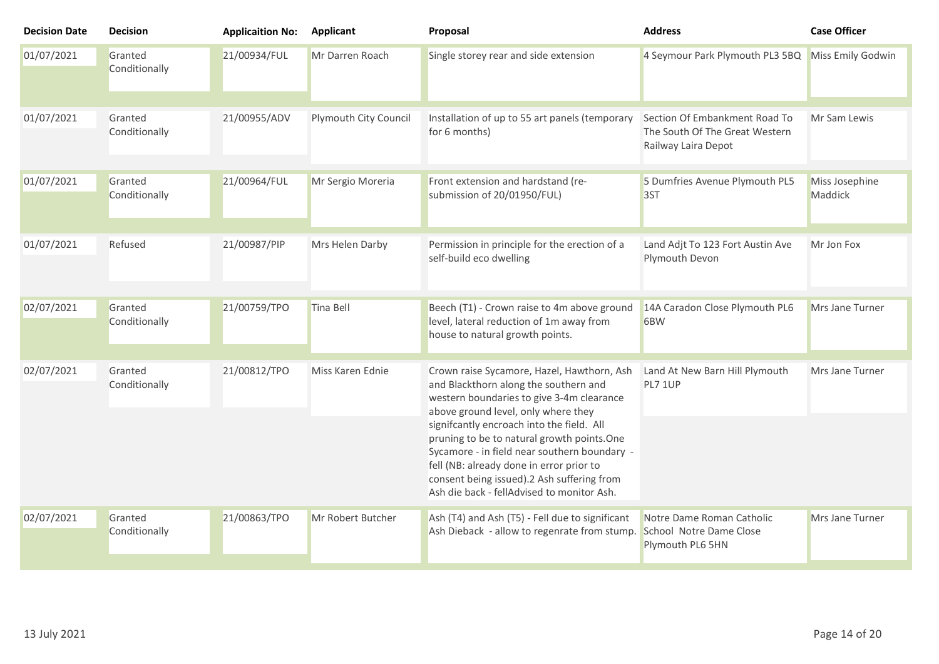| <b>Decision Date</b> | <b>Decision</b>          | <b>Applicaition No:</b> | <b>Applicant</b>      | Proposal                                                                                                                                                                                                                                                                                                                                                                                                                                                   | <b>Address</b>                                                                         | <b>Case Officer</b>       |
|----------------------|--------------------------|-------------------------|-----------------------|------------------------------------------------------------------------------------------------------------------------------------------------------------------------------------------------------------------------------------------------------------------------------------------------------------------------------------------------------------------------------------------------------------------------------------------------------------|----------------------------------------------------------------------------------------|---------------------------|
| 01/07/2021           | Granted<br>Conditionally | 21/00934/FUL            | Mr Darren Roach       | Single storey rear and side extension                                                                                                                                                                                                                                                                                                                                                                                                                      | 4 Seymour Park Plymouth PL3 5BQ                                                        | Miss Emily Godwin         |
| 01/07/2021           | Granted<br>Conditionally | 21/00955/ADV            | Plymouth City Council | Installation of up to 55 art panels (temporary<br>for 6 months)                                                                                                                                                                                                                                                                                                                                                                                            | Section Of Embankment Road To<br>The South Of The Great Western<br>Railway Laira Depot | Mr Sam Lewis              |
| 01/07/2021           | Granted<br>Conditionally | 21/00964/FUL            | Mr Sergio Moreria     | Front extension and hardstand (re-<br>submission of 20/01950/FUL)                                                                                                                                                                                                                                                                                                                                                                                          | 5 Dumfries Avenue Plymouth PL5<br>3ST                                                  | Miss Josephine<br>Maddick |
| 01/07/2021           | Refused                  | 21/00987/PIP            | Mrs Helen Darby       | Permission in principle for the erection of a<br>self-build eco dwelling                                                                                                                                                                                                                                                                                                                                                                                   | Land Adjt To 123 Fort Austin Ave<br>Plymouth Devon                                     | Mr Jon Fox                |
| 02/07/2021           | Granted<br>Conditionally | 21/00759/TPO            | Tina Bell             | Beech (T1) - Crown raise to 4m above ground<br>level, lateral reduction of 1m away from<br>house to natural growth points.                                                                                                                                                                                                                                                                                                                                 | 14A Caradon Close Plymouth PL6<br>6BW                                                  | Mrs Jane Turner           |
| 02/07/2021           | Granted<br>Conditionally | 21/00812/TPO            | Miss Karen Ednie      | Crown raise Sycamore, Hazel, Hawthorn, Ash<br>and Blackthorn along the southern and<br>western boundaries to give 3-4m clearance<br>above ground level, only where they<br>signifcantly encroach into the field. All<br>pruning to be to natural growth points.One<br>Sycamore - in field near southern boundary -<br>fell (NB: already done in error prior to<br>consent being issued).2 Ash suffering from<br>Ash die back - fellAdvised to monitor Ash. | Land At New Barn Hill Plymouth<br>PL7 1UP                                              | Mrs Jane Turner           |
| 02/07/2021           | Granted<br>Conditionally | 21/00863/TPO            | Mr Robert Butcher     | Ash (T4) and Ash (T5) - Fell due to significant<br>Ash Dieback - allow to regenrate from stump.                                                                                                                                                                                                                                                                                                                                                            | Notre Dame Roman Catholic<br>School Notre Dame Close<br>Plymouth PL6 5HN               | Mrs Jane Turner           |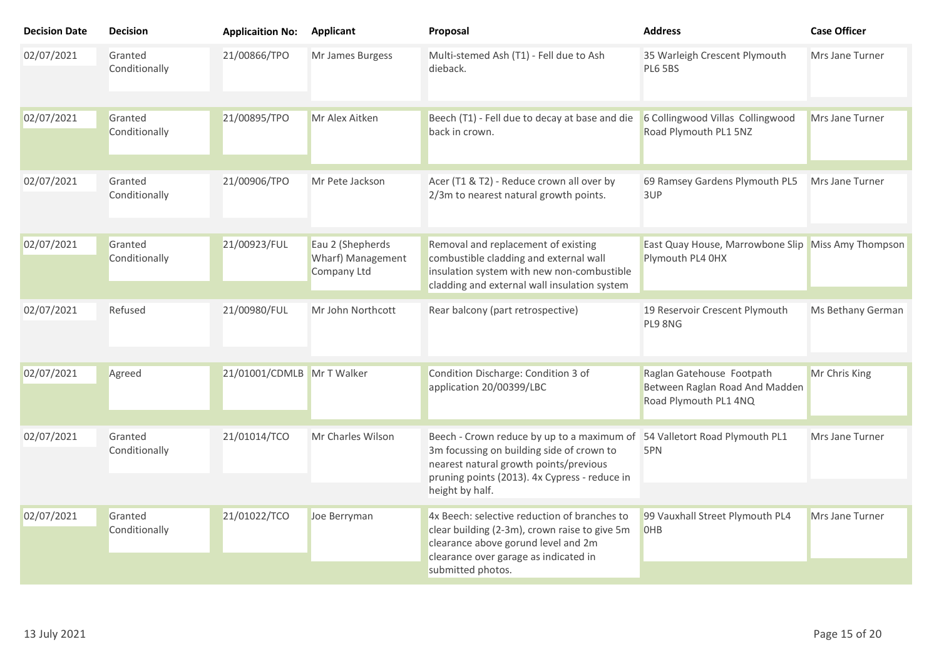| <b>Decision Date</b> | <b>Decision</b>          | <b>Applicaition No:</b>    | <b>Applicant</b>                                     | Proposal                                                                                                                                                                                              | <b>Address</b>                                                                       | <b>Case Officer</b> |
|----------------------|--------------------------|----------------------------|------------------------------------------------------|-------------------------------------------------------------------------------------------------------------------------------------------------------------------------------------------------------|--------------------------------------------------------------------------------------|---------------------|
| 02/07/2021           | Granted<br>Conditionally | 21/00866/TPO               | Mr James Burgess                                     | Multi-stemed Ash (T1) - Fell due to Ash<br>dieback.                                                                                                                                                   | 35 Warleigh Crescent Plymouth<br><b>PL6 5BS</b>                                      | Mrs Jane Turner     |
| 02/07/2021           | Granted<br>Conditionally | 21/00895/TPO               | Mr Alex Aitken                                       | Beech (T1) - Fell due to decay at base and die<br>back in crown.                                                                                                                                      | 6 Collingwood Villas Collingwood<br>Road Plymouth PL1 5NZ                            | Mrs Jane Turner     |
| 02/07/2021           | Granted<br>Conditionally | 21/00906/TPO               | Mr Pete Jackson                                      | Acer (T1 & T2) - Reduce crown all over by<br>2/3m to nearest natural growth points.                                                                                                                   | 69 Ramsey Gardens Plymouth PL5<br>3UP                                                | Mrs Jane Turner     |
| 02/07/2021           | Granted<br>Conditionally | 21/00923/FUL               | Eau 2 (Shepherds<br>Wharf) Management<br>Company Ltd | Removal and replacement of existing<br>combustible cladding and external wall<br>insulation system with new non-combustible<br>cladding and external wall insulation system                           | East Quay House, Marrowbone Slip Miss Amy Thompson<br>Plymouth PL4 0HX               |                     |
| 02/07/2021           | Refused                  | 21/00980/FUL               | Mr John Northcott                                    | Rear balcony (part retrospective)                                                                                                                                                                     | 19 Reservoir Crescent Plymouth<br>PL9 8NG                                            | Ms Bethany German   |
| 02/07/2021           | Agreed                   | 21/01001/CDMLB Mr T Walker |                                                      | Condition Discharge: Condition 3 of<br>application 20/00399/LBC                                                                                                                                       | Raglan Gatehouse Footpath<br>Between Raglan Road And Madden<br>Road Plymouth PL1 4NQ | Mr Chris King       |
| 02/07/2021           | Granted<br>Conditionally | 21/01014/TCO               | Mr Charles Wilson                                    | Beech - Crown reduce by up to a maximum of<br>3m focussing on building side of crown to<br>nearest natural growth points/previous<br>pruning points (2013). 4x Cypress - reduce in<br>height by half. | 54 Valletort Road Plymouth PL1<br>5PN                                                | Mrs Jane Turner     |
| 02/07/2021           | Granted<br>Conditionally | 21/01022/TCO               | Joe Berryman                                         | 4x Beech: selective reduction of branches to<br>clear building (2-3m), crown raise to give 5m<br>clearance above gorund level and 2m<br>clearance over garage as indicated in<br>submitted photos.    | 99 Vauxhall Street Plymouth PL4<br><b>OHB</b>                                        | Mrs Jane Turner     |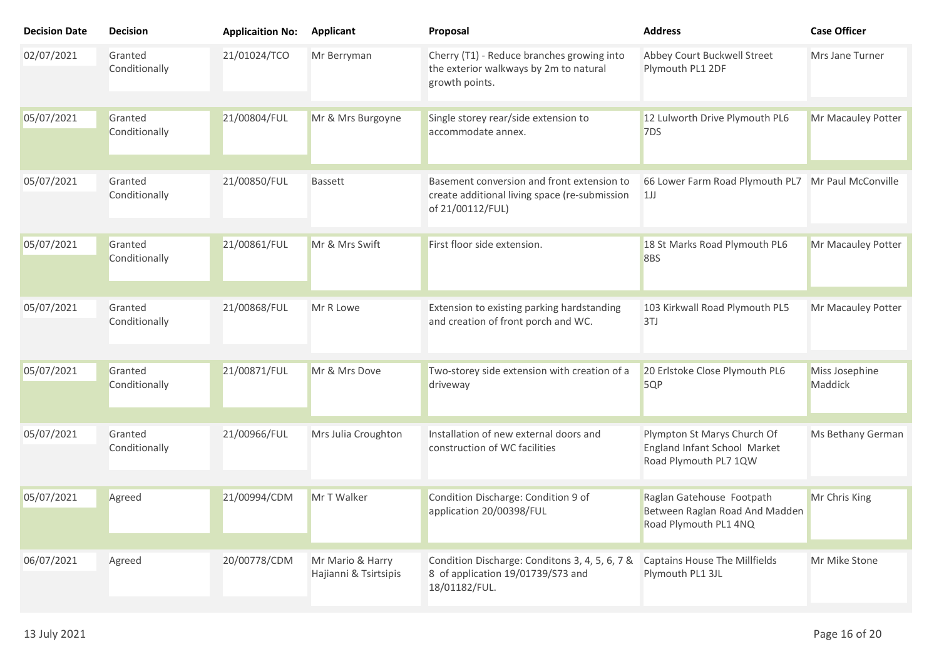| <b>Decision Date</b> | <b>Decision</b>          | <b>Applicaition No:</b> | <b>Applicant</b>                          | Proposal                                                                                                        | <b>Address</b>                                                                       | <b>Case Officer</b>       |
|----------------------|--------------------------|-------------------------|-------------------------------------------|-----------------------------------------------------------------------------------------------------------------|--------------------------------------------------------------------------------------|---------------------------|
| 02/07/2021           | Granted<br>Conditionally | 21/01024/TCO            | Mr Berryman                               | Cherry (T1) - Reduce branches growing into<br>the exterior walkways by 2m to natural<br>growth points.          | Abbey Court Buckwell Street<br>Plymouth PL1 2DF                                      | Mrs Jane Turner           |
| 05/07/2021           | Granted<br>Conditionally | 21/00804/FUL            | Mr & Mrs Burgoyne                         | Single storey rear/side extension to<br>accommodate annex.                                                      | 12 Lulworth Drive Plymouth PL6<br>7DS                                                | Mr Macauley Potter        |
| 05/07/2021           | Granted<br>Conditionally | 21/00850/FUL            | <b>Bassett</b>                            | Basement conversion and front extension to<br>create additional living space (re-submission<br>of 21/00112/FUL) | 66 Lower Farm Road Plymouth PL7 Mr Paul McConville<br>1J                             |                           |
| 05/07/2021           | Granted<br>Conditionally | 21/00861/FUL            | Mr & Mrs Swift                            | First floor side extension.                                                                                     | 18 St Marks Road Plymouth PL6<br>8BS                                                 | Mr Macauley Potter        |
| 05/07/2021           | Granted<br>Conditionally | 21/00868/FUL            | Mr R Lowe                                 | Extension to existing parking hardstanding<br>and creation of front porch and WC.                               | 103 Kirkwall Road Plymouth PL5<br>3TJ                                                | Mr Macauley Potter        |
| 05/07/2021           | Granted<br>Conditionally | 21/00871/FUL            | Mr & Mrs Dove                             | Two-storey side extension with creation of a<br>driveway                                                        | 20 Erlstoke Close Plymouth PL6<br>5QP                                                | Miss Josephine<br>Maddick |
| 05/07/2021           | Granted<br>Conditionally | 21/00966/FUL            | Mrs Julia Croughton                       | Installation of new external doors and<br>construction of WC facilities                                         | Plympton St Marys Church Of<br>England Infant School Market<br>Road Plymouth PL7 1QW | Ms Bethany German         |
| 05/07/2021           | Agreed                   | 21/00994/CDM            | Mr T Walker                               | Condition Discharge: Condition 9 of<br>application 20/00398/FUL                                                 | Raglan Gatehouse Footpath<br>Between Raglan Road And Madden<br>Road Plymouth PL1 4NQ | Mr Chris King             |
| 06/07/2021           | Agreed                   | 20/00778/CDM            | Mr Mario & Harry<br>Hajianni & Tsirtsipis | Condition Discharge: Conditons 3, 4, 5, 6, 7 &<br>8 of application 19/01739/S73 and<br>18/01182/FUL.            | Captains House The Millfields<br>Plymouth PL1 3JL                                    | Mr Mike Stone             |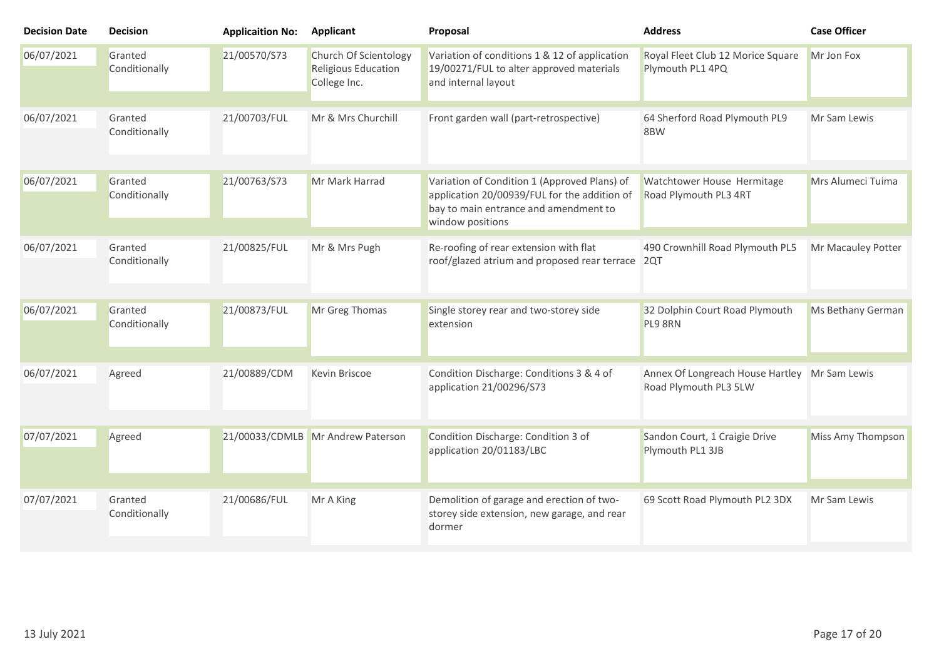| <b>Decision Date</b> | <b>Decision</b>          | <b>Applicaition No:</b> | <b>Applicant</b>                                             | Proposal                                                                                                                                                  | <b>Address</b>                                            | <b>Case Officer</b> |
|----------------------|--------------------------|-------------------------|--------------------------------------------------------------|-----------------------------------------------------------------------------------------------------------------------------------------------------------|-----------------------------------------------------------|---------------------|
| 06/07/2021           | Granted<br>Conditionally | 21/00570/S73            | Church Of Scientology<br>Religious Education<br>College Inc. | Variation of conditions 1 & 12 of application<br>19/00271/FUL to alter approved materials<br>and internal layout                                          | Royal Fleet Club 12 Morice Square<br>Plymouth PL1 4PQ     | Mr Jon Fox          |
| 06/07/2021           | Granted<br>Conditionally | 21/00703/FUL            | Mr & Mrs Churchill                                           | Front garden wall (part-retrospective)                                                                                                                    | 64 Sherford Road Plymouth PL9<br>8BW                      | Mr Sam Lewis        |
| 06/07/2021           | Granted<br>Conditionally | 21/00763/S73            | Mr Mark Harrad                                               | Variation of Condition 1 (Approved Plans) of<br>application 20/00939/FUL for the addition of<br>bay to main entrance and amendment to<br>window positions | Watchtower House Hermitage<br>Road Plymouth PL3 4RT       | Mrs Alumeci Tuima   |
| 06/07/2021           | Granted<br>Conditionally | 21/00825/FUL            | Mr & Mrs Pugh                                                | Re-roofing of rear extension with flat<br>roof/glazed atrium and proposed rear terrace 2QT                                                                | 490 Crownhill Road Plymouth PL5                           | Mr Macauley Potter  |
| 06/07/2021           | Granted<br>Conditionally | 21/00873/FUL            | Mr Greg Thomas                                               | Single storey rear and two-storey side<br>extension                                                                                                       | 32 Dolphin Court Road Plymouth<br>PL9 8RN                 | Ms Bethany German   |
| 06/07/2021           | Agreed                   | 21/00889/CDM            | Kevin Briscoe                                                | Condition Discharge: Conditions 3 & 4 of<br>application 21/00296/S73                                                                                      | Annex Of Longreach House Hartley<br>Road Plymouth PL3 5LW | Mr Sam Lewis        |
| 07/07/2021           | Agreed                   |                         | 21/00033/CDMLB Mr Andrew Paterson                            | Condition Discharge: Condition 3 of<br>application 20/01183/LBC                                                                                           | Sandon Court, 1 Craigie Drive<br>Plymouth PL1 3JB         | Miss Amy Thompson   |
| 07/07/2021           | Granted<br>Conditionally | 21/00686/FUL            | Mr A King                                                    | Demolition of garage and erection of two-<br>storey side extension, new garage, and rear<br>dormer                                                        | 69 Scott Road Plymouth PL2 3DX                            | Mr Sam Lewis        |
|                      |                          |                         |                                                              |                                                                                                                                                           |                                                           |                     |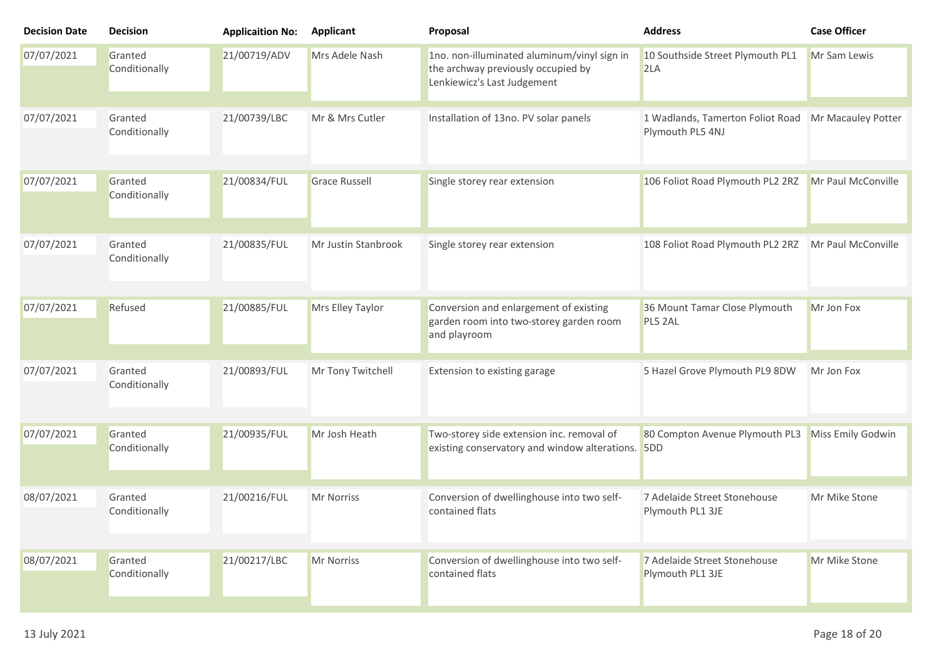| <b>Decision Date</b> | <b>Decision</b>          | <b>Applicaition No:</b> | <b>Applicant</b>     | Proposal                                                                                                         | <b>Address</b>                                       | <b>Case Officer</b> |
|----------------------|--------------------------|-------------------------|----------------------|------------------------------------------------------------------------------------------------------------------|------------------------------------------------------|---------------------|
| 07/07/2021           | Granted<br>Conditionally | 21/00719/ADV            | Mrs Adele Nash       | 1no. non-illuminated aluminum/vinyl sign in<br>the archway previously occupied by<br>Lenkiewicz's Last Judgement | 10 Southside Street Plymouth PL1<br>2LA              | Mr Sam Lewis        |
| 07/07/2021           | Granted<br>Conditionally | 21/00739/LBC            | Mr & Mrs Cutler      | Installation of 13no. PV solar panels                                                                            | 1 Wadlands, Tamerton Foliot Road<br>Plymouth PL5 4NJ | Mr Macauley Potter  |
| 07/07/2021           | Granted<br>Conditionally | 21/00834/FUL            | <b>Grace Russell</b> | Single storey rear extension                                                                                     | 106 Foliot Road Plymouth PL2 2RZ                     | Mr Paul McConville  |
| 07/07/2021           | Granted<br>Conditionally | 21/00835/FUL            | Mr Justin Stanbrook  | Single storey rear extension                                                                                     | 108 Foliot Road Plymouth PL2 2RZ                     | Mr Paul McConville  |
| 07/07/2021           | Refused                  | 21/00885/FUL            | Mrs Elley Taylor     | Conversion and enlargement of existing<br>garden room into two-storey garden room<br>and playroom                | 36 Mount Tamar Close Plymouth<br>PL5 2AL             | Mr Jon Fox          |
| 07/07/2021           | Granted<br>Conditionally | 21/00893/FUL            | Mr Tony Twitchell    | Extension to existing garage                                                                                     | 5 Hazel Grove Plymouth PL9 8DW                       | Mr Jon Fox          |
| 07/07/2021           | Granted<br>Conditionally | 21/00935/FUL            | Mr Josh Heath        | Two-storey side extension inc. removal of<br>existing conservatory and window alterations. 5DD                   | 80 Compton Avenue Plymouth PL3                       | Miss Emily Godwin   |
| 08/07/2021           | Granted<br>Conditionally | 21/00216/FUL            | Mr Norriss           | Conversion of dwellinghouse into two self-<br>contained flats                                                    | 7 Adelaide Street Stonehouse<br>Plymouth PL1 3JE     | Mr Mike Stone       |
| 08/07/2021           | Granted<br>Conditionally | 21/00217/LBC            | Mr Norriss           | Conversion of dwellinghouse into two self-<br>contained flats                                                    | 7 Adelaide Street Stonehouse<br>Plymouth PL1 3JE     | Mr Mike Stone       |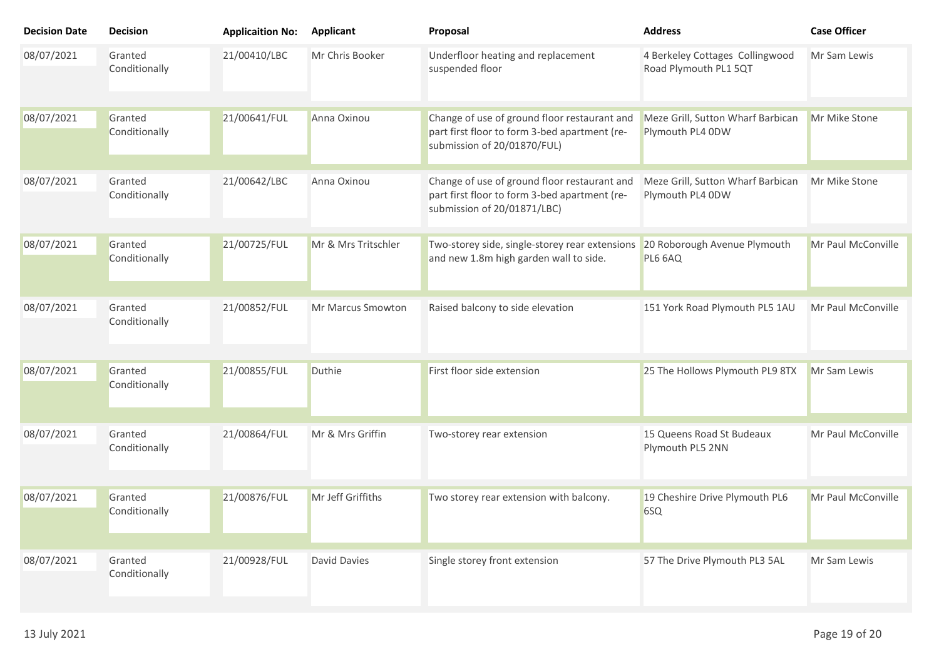| <b>Decision Date</b> | <b>Decision</b>          | <b>Applicaition No:</b> | <b>Applicant</b>    | Proposal                                                                                                                     | <b>Address</b>                                           | <b>Case Officer</b> |
|----------------------|--------------------------|-------------------------|---------------------|------------------------------------------------------------------------------------------------------------------------------|----------------------------------------------------------|---------------------|
| 08/07/2021           | Granted<br>Conditionally | 21/00410/LBC            | Mr Chris Booker     | Underfloor heating and replacement<br>suspended floor                                                                        | 4 Berkeley Cottages Collingwood<br>Road Plymouth PL1 5QT | Mr Sam Lewis        |
| 08/07/2021           | Granted<br>Conditionally | 21/00641/FUL            | Anna Oxinou         | Change of use of ground floor restaurant and<br>part first floor to form 3-bed apartment (re-<br>submission of 20/01870/FUL) | Meze Grill, Sutton Wharf Barbican<br>Plymouth PL4 0DW    | Mr Mike Stone       |
| 08/07/2021           | Granted<br>Conditionally | 21/00642/LBC            | Anna Oxinou         | Change of use of ground floor restaurant and<br>part first floor to form 3-bed apartment (re-<br>submission of 20/01871/LBC) | Meze Grill, Sutton Wharf Barbican<br>Plymouth PL4 0DW    | Mr Mike Stone       |
| 08/07/2021           | Granted<br>Conditionally | 21/00725/FUL            | Mr & Mrs Tritschler | Two-storey side, single-storey rear extensions<br>and new 1.8m high garden wall to side.                                     | 20 Roborough Avenue Plymouth<br>PL6 6AQ                  | Mr Paul McConville  |
| 08/07/2021           | Granted<br>Conditionally | 21/00852/FUL            | Mr Marcus Smowton   | Raised balcony to side elevation                                                                                             | 151 York Road Plymouth PL5 1AU                           | Mr Paul McConville  |
| 08/07/2021           | Granted<br>Conditionally | 21/00855/FUL            | Duthie              | First floor side extension                                                                                                   | 25 The Hollows Plymouth PL9 8TX                          | Mr Sam Lewis        |
| 08/07/2021           | Granted<br>Conditionally | 21/00864/FUL            | Mr & Mrs Griffin    | Two-storey rear extension                                                                                                    | 15 Queens Road St Budeaux<br>Plymouth PL5 2NN            | Mr Paul McConville  |
| 08/07/2021           | Granted<br>Conditionally | 21/00876/FUL            | Mr Jeff Griffiths   | Two storey rear extension with balcony.                                                                                      | 19 Cheshire Drive Plymouth PL6<br>6SQ                    | Mr Paul McConville  |
| 08/07/2021           | Granted<br>Conditionally | 21/00928/FUL            | David Davies        | Single storey front extension                                                                                                | 57 The Drive Plymouth PL3 5AL                            | Mr Sam Lewis        |